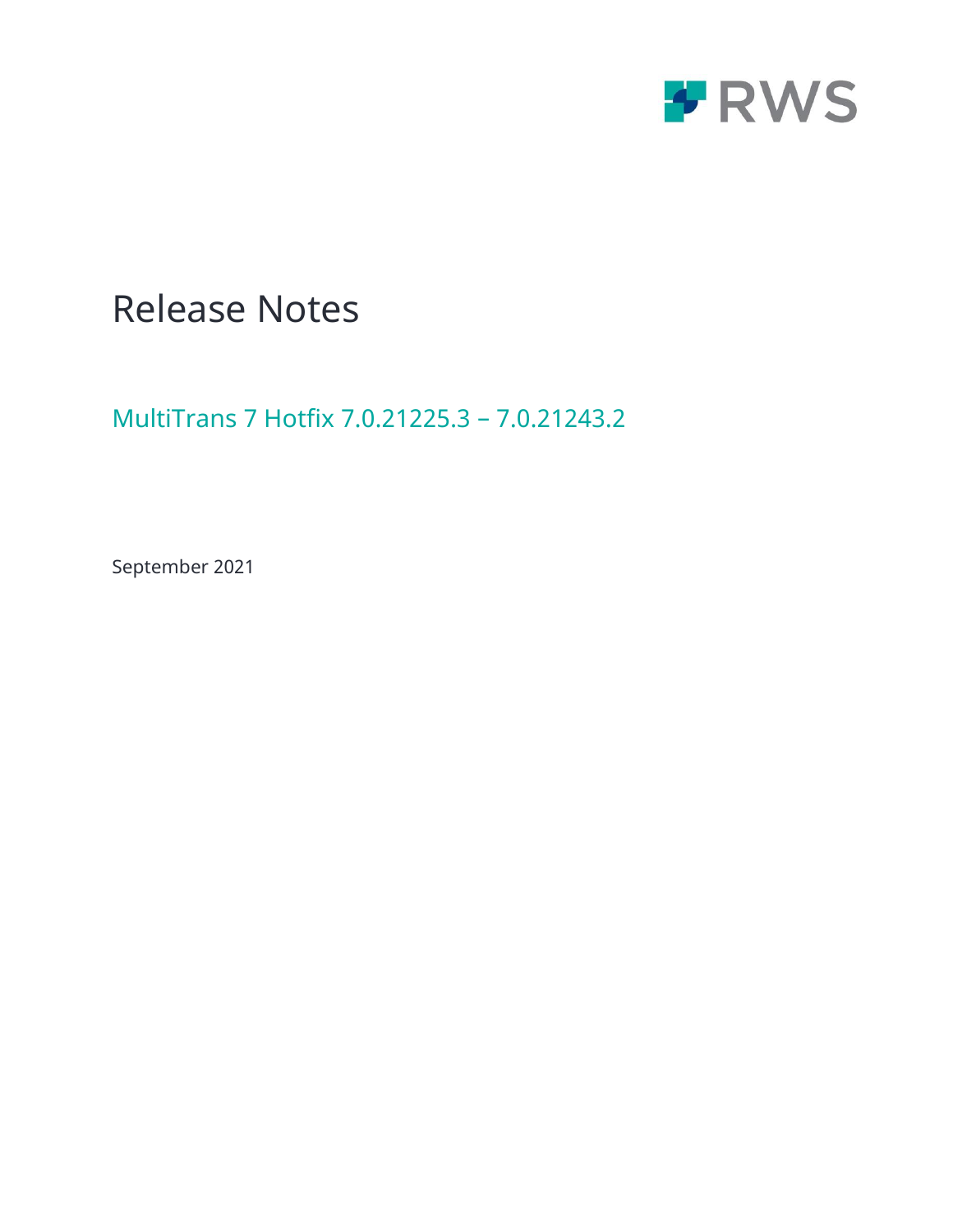

# Release Notes

MultiTrans 7 Hotfix 7.0.21225.3 – 7.0.21243.2

September 2021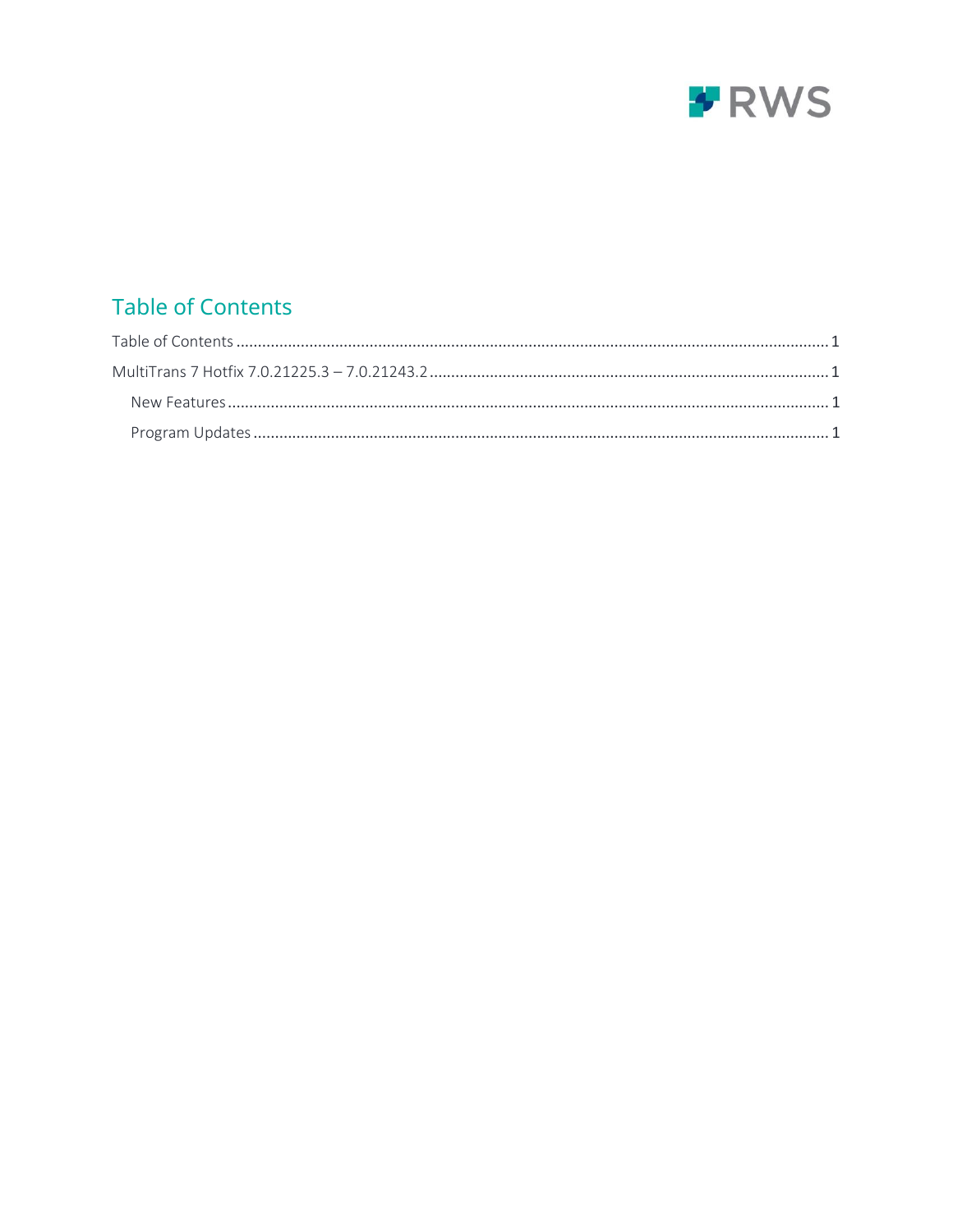

## <span id="page-1-0"></span>**Table of Contents**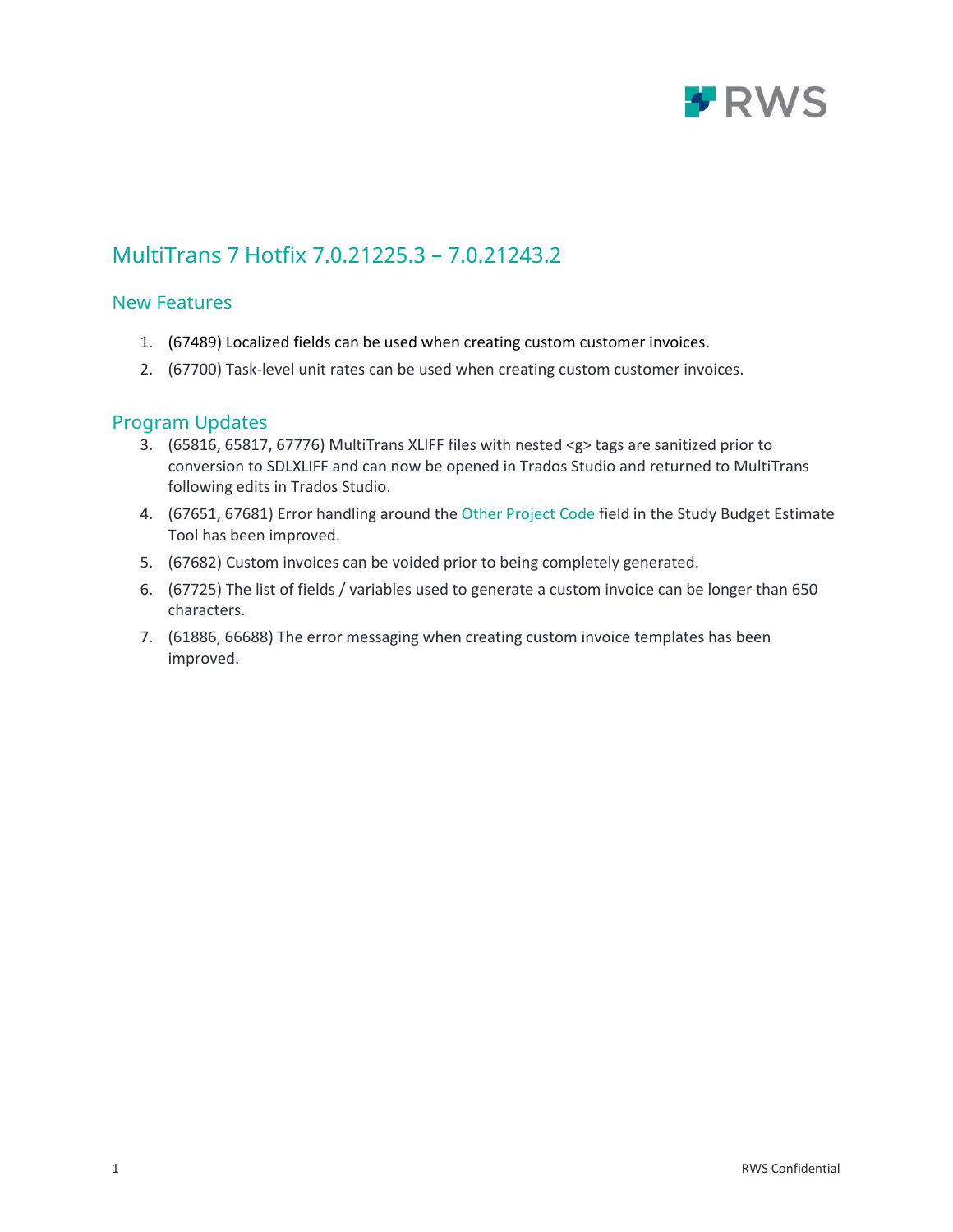

## <span id="page-2-0"></span>MultiTrans 7 Hotfix 7.0.21225.3 – 7.0.21243.2

### <span id="page-2-1"></span>New Features

- 1. (67489) Localized fields can be used when creating custom customer invoices.
- 2. (67700) Task-level unit rates can be used when creating custom customer invoices.

#### <span id="page-2-2"></span>Program Updates

- 3. (65816, 65817, 67776) MultiTrans XLIFF files with nested <g> tags are sanitized prior to conversion to SDLXLIFF and can now be opened in Trados Studio and returned to MultiTrans following edits in Trados Studio.
- 4. (67651, 67681) Error handling around the Other Project Code field in the Study Budget Estimate Tool has been improved.
- 5. (67682) Custom invoices can be voided prior to being completely generated.
- 6. (67725) The list of fields / variables used to generate a custom invoice can be longer than 650 characters.
- 7. (61886, 66688) The error messaging when creating custom invoice templates has been improved.